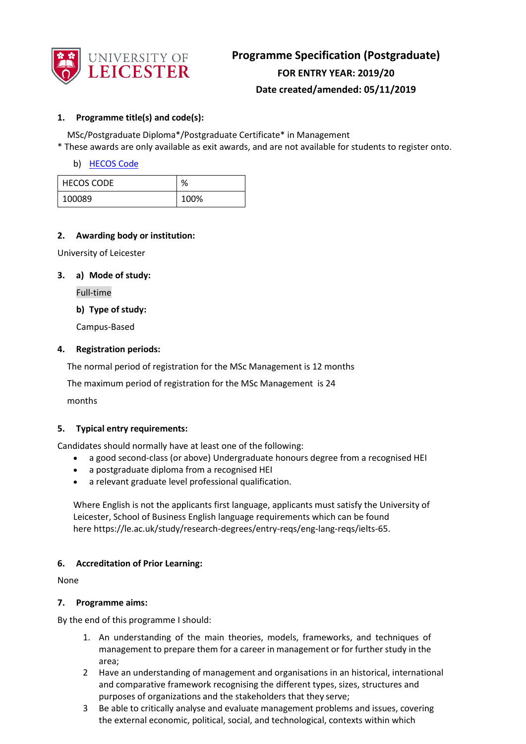

# **Programme Specification (Postgraduate) FOR ENTRY YEAR: 2019/20 Date created/amended: 05/11/2019**

# **1. Programme title(s) and code(s):**

MSc/Postgraduate Diploma\*/Postgraduate Certificate\* in Management

\* These awards are only available as exit awards, and are not available for students to register onto.

# b) [HECOS Code](https://www.hesa.ac.uk/innovation/hecos)

| <b>HECOS CODE</b> | $\Omega$ |
|-------------------|----------|
| 100089            | 100%     |

#### **2. Awarding body or institution:**

University of Leicester

#### **3. a) Mode of study:**

Full-time

**b) Type of study:**

Campus-Based

# **4. Registration periods:**

The normal period of registration for the MSc Management is 12 months

The maximum period of registration for the MSc Management is 24

months

# **5. Typical entry requirements:**

Candidates should normally have at least one of the following:

- a good second-class (or above) Undergraduate honours degree from a recognised HEI
- a postgraduate diploma from a recognised HEI
- a relevant graduate level professional qualification.

Where English is not the applicants first language, applicants must satisfy the University of Leicester, School of Business English language requirements which can be found here https://le.ac.uk/study/research-degrees/entry-reqs/eng-lang-reqs/ielts-65.

#### **6. Accreditation of Prior Learning:**

None

#### **7. Programme aims:**

By the end of this programme I should:

- 1. An understanding of the main theories, models, frameworks, and techniques of management to prepare them for a career in management or for further study in the area;
- 2 Have an understanding of management and organisations in an historical, international and comparative framework recognising the different types, sizes, structures and purposes of organizations and the stakeholders that they serve;
- 3 Be able to critically analyse and evaluate management problems and issues, covering the external economic, political, social, and technological, contexts within which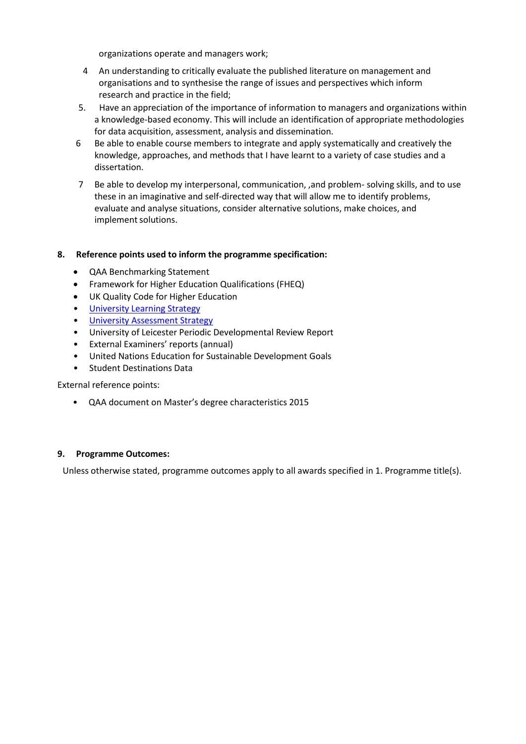organizations operate and managers work;

- 4 An understanding to critically evaluate the published literature on management and organisations and to synthesise the range of issues and perspectives which inform research and practice in the field;
- 5. Have an appreciation of the importance of information to managers and organizations within a knowledge-based economy. This will include an identification of appropriate methodologies for data acquisition, assessment, analysis and dissemination.
- 6 Be able to enable course members to integrate and apply systematically and creatively the knowledge, approaches, and methods that I have learnt to a variety of case studies and a dissertation.
- 7 Be able to develop my interpersonal, communication, ,and problem- solving skills, and to use these in an imaginative and self-directed way that will allow me to identify problems, evaluate and analyse situations, consider alternative solutions, make choices, and implement solutions.

# **8. Reference points used to inform the programme specification:**

- QAA Benchmarking Statement
- Framework for Higher Education Qualifications (FHEQ)
- UK Quality Code for Higher Education
- University Learnin[g Strategy](https://www2.le.ac.uk/offices/sas2/quality/learnteach)
- **[University Assessment Strategy](https://www2.le.ac.uk/offices/sas2/quality/learnteach)**
- University of Leicester Periodic Developmental Review Report
- External Examiners' reports (annual)
- United Nations Education for Sustainable Development Goals
- Student Destinations Data

External reference points:

• [QAA document on Master's degree characteristics 2015](http://www.qaa.ac.uk/en/Publications/Documents/Masters-Degree-Characteristics-15.pdf)

#### **9. Programme Outcomes:**

Unless otherwise stated, programme outcomes apply to all awards specified in 1. Programme title(s).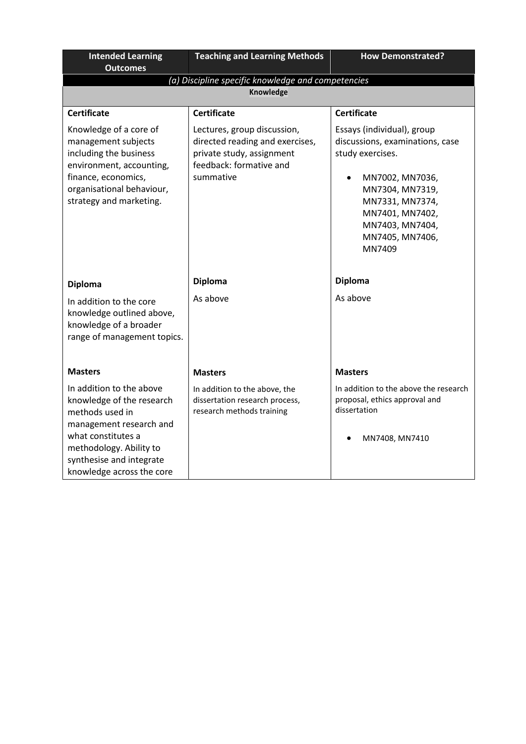| <b>Intended Learning</b><br><b>Outcomes</b>                                                                                                                                                                   | <b>Teaching and Learning Methods</b>                                                                                                | <b>How Demonstrated?</b>                                                                                                                                                                                      |
|---------------------------------------------------------------------------------------------------------------------------------------------------------------------------------------------------------------|-------------------------------------------------------------------------------------------------------------------------------------|---------------------------------------------------------------------------------------------------------------------------------------------------------------------------------------------------------------|
|                                                                                                                                                                                                               | (a) Discipline specific knowledge and competencies                                                                                  |                                                                                                                                                                                                               |
|                                                                                                                                                                                                               | Knowledge                                                                                                                           |                                                                                                                                                                                                               |
| <b>Certificate</b>                                                                                                                                                                                            | <b>Certificate</b>                                                                                                                  | <b>Certificate</b>                                                                                                                                                                                            |
| Knowledge of a core of<br>management subjects<br>including the business<br>environment, accounting,<br>finance, economics,<br>organisational behaviour,<br>strategy and marketing.                            | Lectures, group discussion,<br>directed reading and exercises,<br>private study, assignment<br>feedback: formative and<br>summative | Essays (individual), group<br>discussions, examinations, case<br>study exercises.<br>MN7002, MN7036,<br>MN7304, MN7319,<br>MN7331, MN7374,<br>MN7401, MN7402,<br>MN7403, MN7404,<br>MN7405, MN7406,<br>MN7409 |
| <b>Diploma</b>                                                                                                                                                                                                | <b>Diploma</b>                                                                                                                      | <b>Diploma</b>                                                                                                                                                                                                |
| In addition to the core<br>knowledge outlined above,<br>knowledge of a broader<br>range of management topics.                                                                                                 | As above                                                                                                                            | As above                                                                                                                                                                                                      |
| <b>Masters</b>                                                                                                                                                                                                | <b>Masters</b>                                                                                                                      | <b>Masters</b>                                                                                                                                                                                                |
| In addition to the above<br>knowledge of the research<br>methods used in<br>management research and<br>what constitutes a<br>methodology. Ability to<br>synthesise and integrate<br>knowledge across the core | In addition to the above, the<br>dissertation research process,<br>research methods training                                        | In addition to the above the research<br>proposal, ethics approval and<br>dissertation<br>MN7408, MN7410                                                                                                      |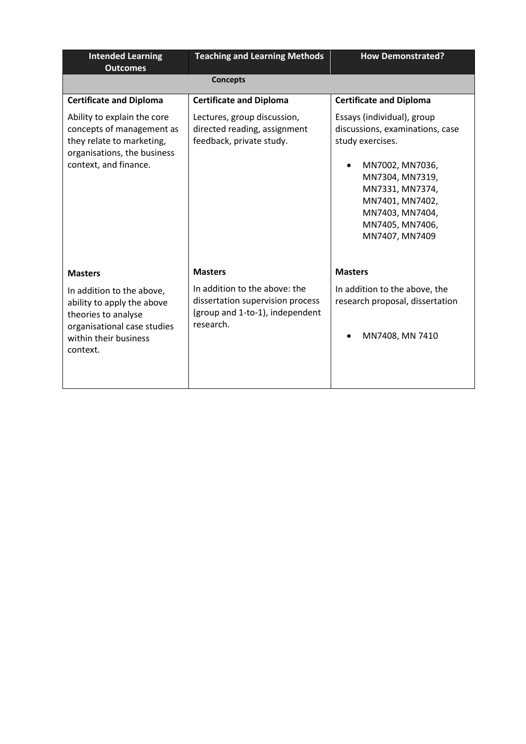| <b>Intended Learning</b><br><b>Outcomes</b>                                                                                                                          | <b>Teaching and Learning Methods</b>                                                                                                | <b>How Demonstrated?</b>                                                                                                                                                                                              |
|----------------------------------------------------------------------------------------------------------------------------------------------------------------------|-------------------------------------------------------------------------------------------------------------------------------------|-----------------------------------------------------------------------------------------------------------------------------------------------------------------------------------------------------------------------|
|                                                                                                                                                                      | <b>Concepts</b>                                                                                                                     |                                                                                                                                                                                                                       |
| <b>Certificate and Diploma</b>                                                                                                                                       | <b>Certificate and Diploma</b>                                                                                                      | <b>Certificate and Diploma</b>                                                                                                                                                                                        |
| Ability to explain the core<br>concepts of management as<br>they relate to marketing,<br>organisations, the business<br>context, and finance.                        | Lectures, group discussion,<br>directed reading, assignment<br>feedback, private study.                                             | Essays (individual), group<br>discussions, examinations, case<br>study exercises.<br>MN7002, MN7036,<br>MN7304, MN7319,<br>MN7331, MN7374,<br>MN7401, MN7402,<br>MN7403, MN7404,<br>MN7405, MN7406,<br>MN7407, MN7409 |
| <b>Masters</b><br>In addition to the above,<br>ability to apply the above<br>theories to analyse<br>organisational case studies<br>within their business<br>context. | <b>Masters</b><br>In addition to the above: the<br>dissertation supervision process<br>(group and 1-to-1), independent<br>research. | <b>Masters</b><br>In addition to the above, the<br>research proposal, dissertation<br>MN7408, MN 7410                                                                                                                 |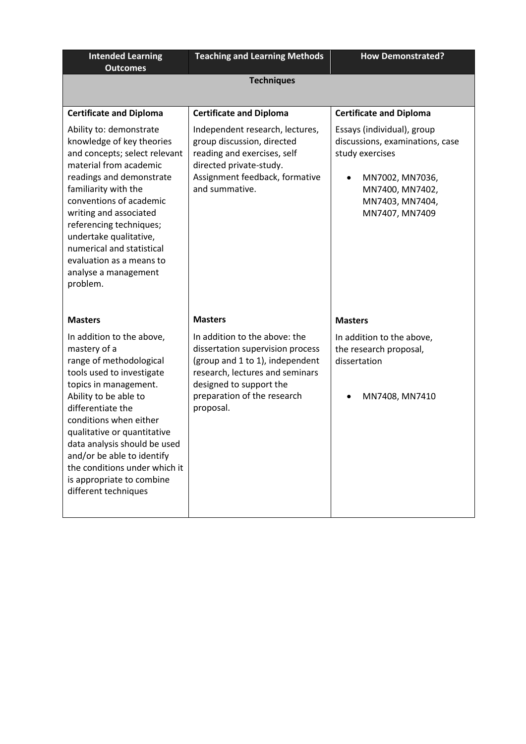| <b>Intended Learning</b><br><b>Outcomes</b>                                                                                                                                                                                                                                                                                                                                                                  | <b>Teaching and Learning Methods</b>                                                                                                                                                                                             | <b>How Demonstrated?</b>                                                                                                                                                                                   |  |
|--------------------------------------------------------------------------------------------------------------------------------------------------------------------------------------------------------------------------------------------------------------------------------------------------------------------------------------------------------------------------------------------------------------|----------------------------------------------------------------------------------------------------------------------------------------------------------------------------------------------------------------------------------|------------------------------------------------------------------------------------------------------------------------------------------------------------------------------------------------------------|--|
| <b>Techniques</b>                                                                                                                                                                                                                                                                                                                                                                                            |                                                                                                                                                                                                                                  |                                                                                                                                                                                                            |  |
| <b>Certificate and Diploma</b><br>Ability to: demonstrate<br>knowledge of key theories<br>and concepts; select relevant<br>material from academic<br>readings and demonstrate<br>familiarity with the<br>conventions of academic<br>writing and associated<br>referencing techniques;<br>undertake qualitative,<br>numerical and statistical<br>evaluation as a means to<br>analyse a management<br>problem. | <b>Certificate and Diploma</b><br>Independent research, lectures,<br>group discussion, directed<br>reading and exercises, self<br>directed private-study.<br>Assignment feedback, formative<br>and summative.                    | <b>Certificate and Diploma</b><br>Essays (individual), group<br>discussions, examinations, case<br>study exercises<br>MN7002, MN7036,<br>$\bullet$<br>MN7400, MN7402,<br>MN7403, MN7404,<br>MN7407, MN7409 |  |
| <b>Masters</b><br>In addition to the above,<br>mastery of a<br>range of methodological<br>tools used to investigate<br>topics in management.<br>Ability to be able to<br>differentiate the<br>conditions when either<br>qualitative or quantitative<br>data analysis should be used<br>and/or be able to identify<br>the conditions under which it<br>is appropriate to combine<br>different techniques      | <b>Masters</b><br>In addition to the above: the<br>dissertation supervision process<br>(group and 1 to 1), independent<br>research, lectures and seminars<br>designed to support the<br>preparation of the research<br>proposal. | <b>Masters</b><br>In addition to the above,<br>the research proposal,<br>dissertation<br>MN7408, MN7410                                                                                                    |  |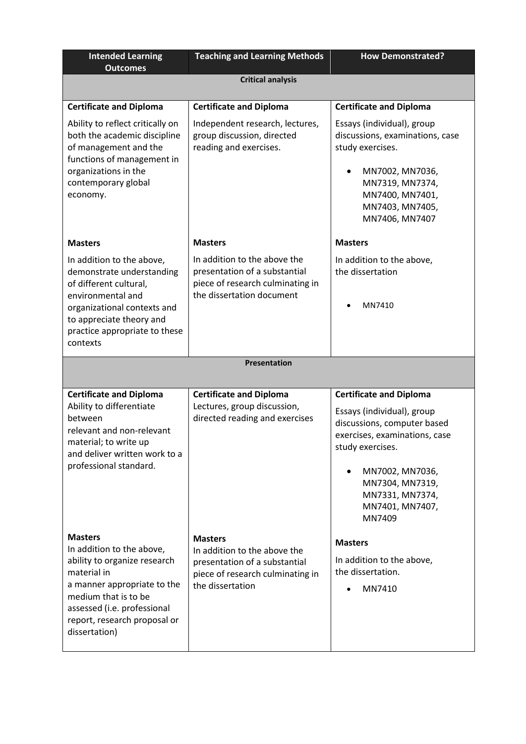| <b>Intended Learning</b><br><b>Outcomes</b>                                                                                                                                                                                       | <b>Teaching and Learning Methods</b>                                                                                                    | <b>How Demonstrated?</b>                                                                                                                                                                                                               |  |
|-----------------------------------------------------------------------------------------------------------------------------------------------------------------------------------------------------------------------------------|-----------------------------------------------------------------------------------------------------------------------------------------|----------------------------------------------------------------------------------------------------------------------------------------------------------------------------------------------------------------------------------------|--|
| <b>Critical analysis</b>                                                                                                                                                                                                          |                                                                                                                                         |                                                                                                                                                                                                                                        |  |
| <b>Certificate and Diploma</b>                                                                                                                                                                                                    | <b>Certificate and Diploma</b>                                                                                                          | <b>Certificate and Diploma</b>                                                                                                                                                                                                         |  |
| Ability to reflect critically on<br>both the academic discipline<br>of management and the<br>functions of management in<br>organizations in the<br>contemporary global<br>economy.                                                | Independent research, lectures,<br>group discussion, directed<br>reading and exercises.                                                 | Essays (individual), group<br>discussions, examinations, case<br>study exercises.<br>MN7002, MN7036,<br>MN7319, MN7374,<br>MN7400, MN7401,<br>MN7403, MN7405,<br>MN7406, MN7407                                                        |  |
| <b>Masters</b>                                                                                                                                                                                                                    | <b>Masters</b>                                                                                                                          | <b>Masters</b>                                                                                                                                                                                                                         |  |
| In addition to the above,<br>demonstrate understanding<br>of different cultural,<br>environmental and<br>organizational contexts and<br>to appreciate theory and<br>practice appropriate to these<br>contexts                     | In addition to the above the<br>presentation of a substantial<br>piece of research culminating in<br>the dissertation document          | In addition to the above,<br>the dissertation<br>MN7410                                                                                                                                                                                |  |
|                                                                                                                                                                                                                                   | Presentation                                                                                                                            |                                                                                                                                                                                                                                        |  |
| <b>Certificate and Diploma</b><br>Ability to differentiate<br>between<br>relevant and non-relevant<br>material; to write up<br>and deliver written work to a<br>professional standard.                                            | <b>Certificate and Diploma</b><br>Lectures, group discussion,<br>directed reading and exercises                                         | <b>Certificate and Diploma</b><br>Essays (individual), group<br>discussions, computer based<br>exercises, examinations, case<br>study exercises.<br>MN7002, MN7036,<br>MN7304, MN7319,<br>MN7331, MN7374,<br>MN7401, MN7407,<br>MN7409 |  |
| <b>Masters</b><br>In addition to the above,<br>ability to organize research<br>material in<br>a manner appropriate to the<br>medium that is to be<br>assessed (i.e. professional<br>report, research proposal or<br>dissertation) | <b>Masters</b><br>In addition to the above the<br>presentation of a substantial<br>piece of research culminating in<br>the dissertation | <b>Masters</b><br>In addition to the above,<br>the dissertation.<br>MN7410                                                                                                                                                             |  |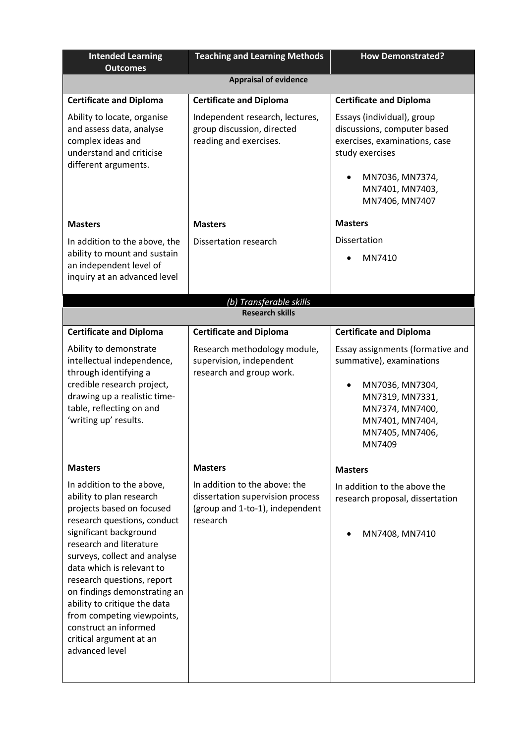| <b>Intended Learning</b><br><b>Outcomes</b>                                                                                                                                                                                                                                                                                                                                                                                           | <b>Teaching and Learning Methods</b>                                                                             | <b>How Demonstrated?</b>                                                                                                                                              |  |
|---------------------------------------------------------------------------------------------------------------------------------------------------------------------------------------------------------------------------------------------------------------------------------------------------------------------------------------------------------------------------------------------------------------------------------------|------------------------------------------------------------------------------------------------------------------|-----------------------------------------------------------------------------------------------------------------------------------------------------------------------|--|
|                                                                                                                                                                                                                                                                                                                                                                                                                                       | <b>Appraisal of evidence</b>                                                                                     |                                                                                                                                                                       |  |
| <b>Certificate and Diploma</b>                                                                                                                                                                                                                                                                                                                                                                                                        | <b>Certificate and Diploma</b>                                                                                   | <b>Certificate and Diploma</b>                                                                                                                                        |  |
| Ability to locate, organise<br>and assess data, analyse<br>complex ideas and<br>understand and criticise<br>different arguments.                                                                                                                                                                                                                                                                                                      | Independent research, lectures,<br>group discussion, directed<br>reading and exercises.                          | Essays (individual), group<br>discussions, computer based<br>exercises, examinations, case<br>study exercises<br>MN7036, MN7374,<br>MN7401, MN7403,<br>MN7406, MN7407 |  |
| <b>Masters</b>                                                                                                                                                                                                                                                                                                                                                                                                                        | <b>Masters</b>                                                                                                   | <b>Masters</b>                                                                                                                                                        |  |
| In addition to the above, the<br>ability to mount and sustain<br>an independent level of<br>inquiry at an advanced level                                                                                                                                                                                                                                                                                                              | Dissertation research                                                                                            | Dissertation<br>MN7410                                                                                                                                                |  |
| (b) Transferable skills<br><b>Research skills</b>                                                                                                                                                                                                                                                                                                                                                                                     |                                                                                                                  |                                                                                                                                                                       |  |
| <b>Certificate and Diploma</b>                                                                                                                                                                                                                                                                                                                                                                                                        | <b>Certificate and Diploma</b>                                                                                   | <b>Certificate and Diploma</b>                                                                                                                                        |  |
| Ability to demonstrate<br>intellectual independence,<br>through identifying a<br>credible research project,<br>drawing up a realistic time-<br>table, reflecting on and<br>'writing up' results.                                                                                                                                                                                                                                      | Research methodology module,<br>supervision, independent<br>research and group work.                             | Essay assignments (formative and<br>summative), examinations<br>MN7036, MN7304,<br>MN7319, MN7331,<br>MN7374, MN7400,<br>MN7401, MN7404,<br>MN7405, MN7406,<br>MN7409 |  |
| <b>Masters</b>                                                                                                                                                                                                                                                                                                                                                                                                                        | <b>Masters</b>                                                                                                   | <b>Masters</b>                                                                                                                                                        |  |
| In addition to the above,<br>ability to plan research<br>projects based on focused<br>research questions, conduct<br>significant background<br>research and literature<br>surveys, collect and analyse<br>data which is relevant to<br>research questions, report<br>on findings demonstrating an<br>ability to critique the data<br>from competing viewpoints,<br>construct an informed<br>critical argument at an<br>advanced level | In addition to the above: the<br>dissertation supervision process<br>(group and 1-to-1), independent<br>research | In addition to the above the<br>research proposal, dissertation<br>MN7408, MN7410                                                                                     |  |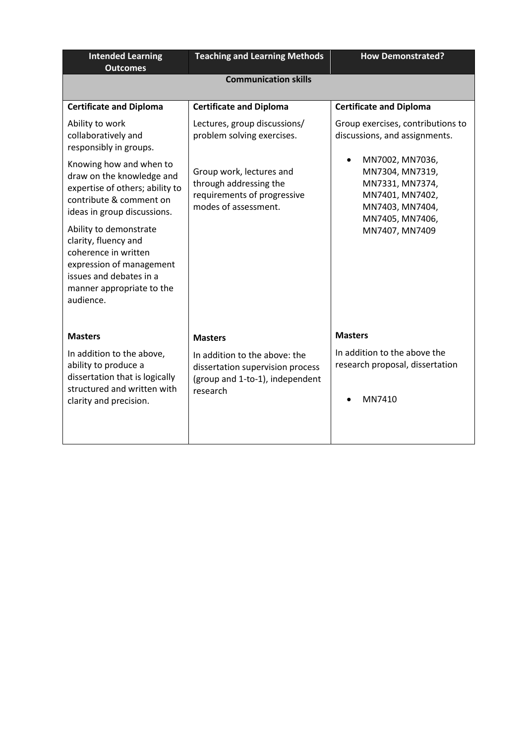| <b>Intended Learning</b><br><b>Outcomes</b>                                                                                                                             | <b>Teaching and Learning Methods</b>                                                                             | <b>How Demonstrated?</b>                                                                                       |  |
|-------------------------------------------------------------------------------------------------------------------------------------------------------------------------|------------------------------------------------------------------------------------------------------------------|----------------------------------------------------------------------------------------------------------------|--|
| <b>Communication skills</b>                                                                                                                                             |                                                                                                                  |                                                                                                                |  |
|                                                                                                                                                                         |                                                                                                                  |                                                                                                                |  |
| <b>Certificate and Diploma</b>                                                                                                                                          | <b>Certificate and Diploma</b>                                                                                   | <b>Certificate and Diploma</b>                                                                                 |  |
| Ability to work<br>collaboratively and<br>responsibly in groups.                                                                                                        | Lectures, group discussions/<br>problem solving exercises.                                                       | Group exercises, contributions to<br>discussions, and assignments.                                             |  |
| Knowing how and when to<br>draw on the knowledge and<br>expertise of others; ability to<br>contribute & comment on<br>ideas in group discussions.                       | Group work, lectures and<br>through addressing the<br>requirements of progressive<br>modes of assessment.        | MN7002, MN7036,<br>MN7304, MN7319,<br>MN7331, MN7374,<br>MN7401, MN7402,<br>MN7403, MN7404,<br>MN7405, MN7406, |  |
| Ability to demonstrate<br>clarity, fluency and<br>coherence in written<br>expression of management<br>issues and debates in a<br>manner appropriate to the<br>audience. |                                                                                                                  | MN7407, MN7409                                                                                                 |  |
| <b>Masters</b>                                                                                                                                                          | <b>Masters</b>                                                                                                   | <b>Masters</b>                                                                                                 |  |
| In addition to the above,<br>ability to produce a<br>dissertation that is logically<br>structured and written with<br>clarity and precision.                            | In addition to the above: the<br>dissertation supervision process<br>(group and 1-to-1), independent<br>research | In addition to the above the<br>research proposal, dissertation<br>MN7410                                      |  |
|                                                                                                                                                                         |                                                                                                                  |                                                                                                                |  |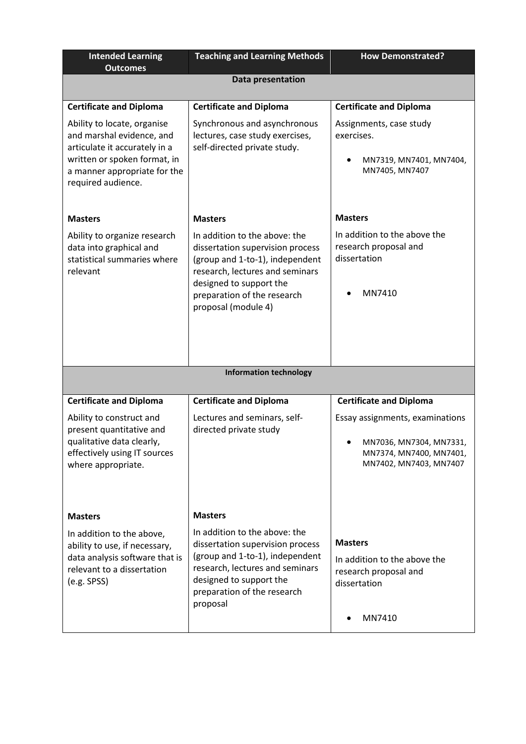| <b>Intended Learning</b><br><b>Outcomes</b>                                                                                                                                     | <b>Teaching and Learning Methods</b>                                                                                                                                                                                     | <b>How Demonstrated?</b>                                                                                        |
|---------------------------------------------------------------------------------------------------------------------------------------------------------------------------------|--------------------------------------------------------------------------------------------------------------------------------------------------------------------------------------------------------------------------|-----------------------------------------------------------------------------------------------------------------|
| Data presentation                                                                                                                                                               |                                                                                                                                                                                                                          |                                                                                                                 |
| <b>Certificate and Diploma</b>                                                                                                                                                  | <b>Certificate and Diploma</b>                                                                                                                                                                                           | <b>Certificate and Diploma</b>                                                                                  |
| Ability to locate, organise<br>and marshal evidence, and<br>articulate it accurately in a<br>written or spoken format, in<br>a manner appropriate for the<br>required audience. | Synchronous and asynchronous<br>lectures, case study exercises,<br>self-directed private study.                                                                                                                          | Assignments, case study<br>exercises.<br>MN7319, MN7401, MN7404,<br>MN7405, MN7407                              |
| <b>Masters</b>                                                                                                                                                                  | <b>Masters</b>                                                                                                                                                                                                           | <b>Masters</b>                                                                                                  |
| Ability to organize research<br>data into graphical and<br>statistical summaries where<br>relevant                                                                              | In addition to the above: the<br>dissertation supervision process<br>(group and 1-to-1), independent<br>research, lectures and seminars<br>designed to support the<br>preparation of the research<br>proposal (module 4) | In addition to the above the<br>research proposal and<br>dissertation<br>MN7410                                 |
|                                                                                                                                                                                 | <b>Information technology</b>                                                                                                                                                                                            |                                                                                                                 |
|                                                                                                                                                                                 |                                                                                                                                                                                                                          |                                                                                                                 |
| <b>Certificate and Diploma</b>                                                                                                                                                  | <b>Certificate and Diploma</b>                                                                                                                                                                                           | <b>Certificate and Diploma</b>                                                                                  |
| Ability to construct and<br>present quantitative and<br>qualitative data clearly,<br>effectively using IT sources<br>where appropriate.                                         | Lectures and seminars, self-<br>directed private study                                                                                                                                                                   | Essay assignments, examinations<br>MN7036, MN7304, MN7331,<br>MN7374, MN7400, MN7401,<br>MN7402, MN7403, MN7407 |
| <b>Masters</b>                                                                                                                                                                  | <b>Masters</b>                                                                                                                                                                                                           |                                                                                                                 |
| In addition to the above,<br>ability to use, if necessary,<br>data analysis software that is<br>relevant to a dissertation<br>(e.g. SPSS)                                       | In addition to the above: the<br>dissertation supervision process<br>(group and 1-to-1), independent<br>research, lectures and seminars<br>designed to support the<br>preparation of the research<br>proposal            | <b>Masters</b><br>In addition to the above the<br>research proposal and<br>dissertation<br>MN7410               |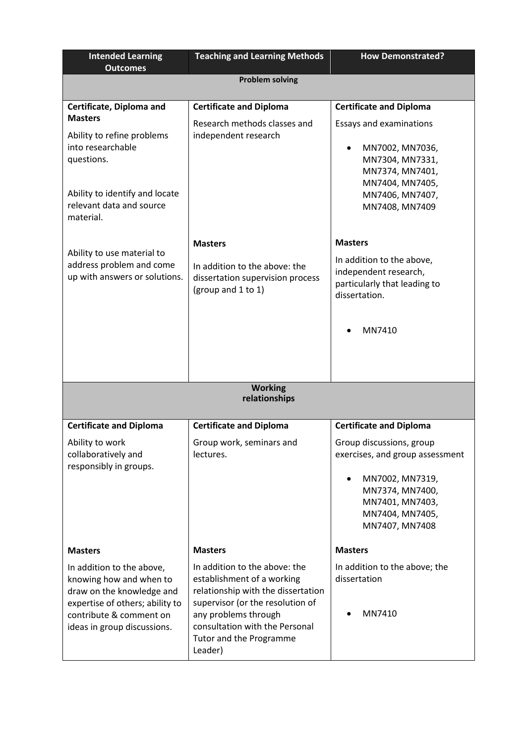| <b>Intended Learning</b><br><b>Outcomes</b>                                                                                                                                    | <b>Teaching and Learning Methods</b>                                                                                                                                                                                                  | <b>How Demonstrated?</b>                                                                            |  |  |
|--------------------------------------------------------------------------------------------------------------------------------------------------------------------------------|---------------------------------------------------------------------------------------------------------------------------------------------------------------------------------------------------------------------------------------|-----------------------------------------------------------------------------------------------------|--|--|
|                                                                                                                                                                                | <b>Problem solving</b>                                                                                                                                                                                                                |                                                                                                     |  |  |
|                                                                                                                                                                                |                                                                                                                                                                                                                                       |                                                                                                     |  |  |
| Certificate, Diploma and<br><b>Masters</b>                                                                                                                                     | <b>Certificate and Diploma</b>                                                                                                                                                                                                        | <b>Certificate and Diploma</b>                                                                      |  |  |
|                                                                                                                                                                                | Research methods classes and                                                                                                                                                                                                          | <b>Essays and examinations</b>                                                                      |  |  |
| Ability to refine problems<br>into researchable<br>questions.<br>Ability to identify and locate                                                                                | independent research                                                                                                                                                                                                                  | MN7002, MN7036,<br>$\bullet$<br>MN7304, MN7331,<br>MN7374, MN7401,<br>MN7404, MN7405,               |  |  |
| relevant data and source<br>material.                                                                                                                                          |                                                                                                                                                                                                                                       | MN7406, MN7407,<br>MN7408, MN7409                                                                   |  |  |
|                                                                                                                                                                                | <b>Masters</b>                                                                                                                                                                                                                        | <b>Masters</b>                                                                                      |  |  |
| Ability to use material to<br>address problem and come<br>up with answers or solutions.                                                                                        | In addition to the above: the<br>dissertation supervision process<br>(group and 1 to 1)                                                                                                                                               | In addition to the above,<br>independent research,<br>particularly that leading to<br>dissertation. |  |  |
|                                                                                                                                                                                |                                                                                                                                                                                                                                       | MN7410                                                                                              |  |  |
|                                                                                                                                                                                | <b>Working</b>                                                                                                                                                                                                                        |                                                                                                     |  |  |
|                                                                                                                                                                                | relationships                                                                                                                                                                                                                         |                                                                                                     |  |  |
| <b>Certificate and Diploma</b>                                                                                                                                                 | <b>Certificate and Diploma</b>                                                                                                                                                                                                        | <b>Certificate and Diploma</b>                                                                      |  |  |
| Ability to work<br>collaboratively and<br>responsibly in groups.                                                                                                               | Group work, seminars and<br>lectures.                                                                                                                                                                                                 | Group discussions, group<br>exercises, and group assessment                                         |  |  |
|                                                                                                                                                                                |                                                                                                                                                                                                                                       | MN7002, MN7319,<br>MN7374, MN7400,<br>MN7401, MN7403,<br>MN7404, MN7405,<br>MN7407, MN7408          |  |  |
| <b>Masters</b>                                                                                                                                                                 | <b>Masters</b>                                                                                                                                                                                                                        | <b>Masters</b>                                                                                      |  |  |
| In addition to the above,<br>knowing how and when to<br>draw on the knowledge and<br>expertise of others; ability to<br>contribute & comment on<br>ideas in group discussions. | In addition to the above: the<br>establishment of a working<br>relationship with the dissertation<br>supervisor (or the resolution of<br>any problems through<br>consultation with the Personal<br>Tutor and the Programme<br>Leader) | In addition to the above; the<br>dissertation<br>MN7410                                             |  |  |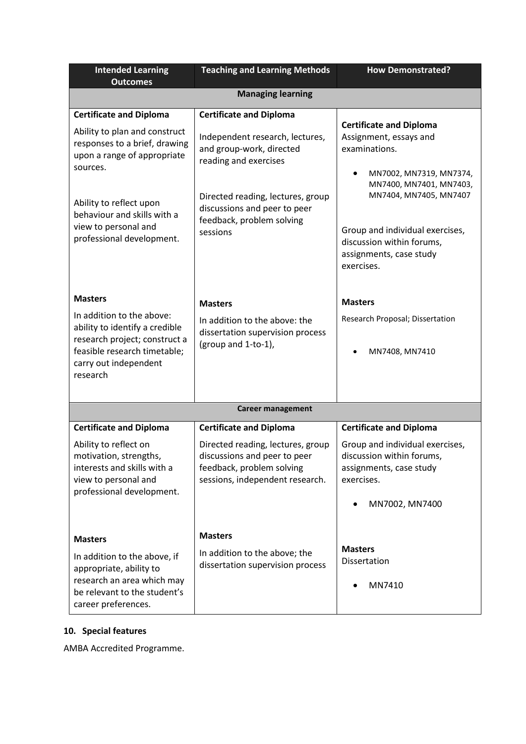| <b>Intended Learning</b><br><b>Outcomes</b>                                                                                                                                                                                                                | <b>Teaching and Learning Methods</b>                                                                                                                                                                                                 | <b>How Demonstrated?</b>                                                                                                                                                                                                  |
|------------------------------------------------------------------------------------------------------------------------------------------------------------------------------------------------------------------------------------------------------------|--------------------------------------------------------------------------------------------------------------------------------------------------------------------------------------------------------------------------------------|---------------------------------------------------------------------------------------------------------------------------------------------------------------------------------------------------------------------------|
|                                                                                                                                                                                                                                                            | <b>Managing learning</b>                                                                                                                                                                                                             |                                                                                                                                                                                                                           |
| <b>Certificate and Diploma</b><br>Ability to plan and construct<br>responses to a brief, drawing<br>upon a range of appropriate<br>sources.<br>Ability to reflect upon<br>behaviour and skills with a<br>view to personal and<br>professional development. | <b>Certificate and Diploma</b><br>Independent research, lectures,<br>and group-work, directed<br>reading and exercises<br>Directed reading, lectures, group<br>discussions and peer to peer<br>feedback, problem solving<br>sessions | <b>Certificate and Diploma</b><br>Assignment, essays and<br>examinations.<br>MN7002, MN7319, MN7374,<br>MN7400, MN7401, MN7403,<br>MN7404, MN7405, MN7407<br>Group and individual exercises,<br>discussion within forums, |
|                                                                                                                                                                                                                                                            |                                                                                                                                                                                                                                      | assignments, case study<br>exercises.                                                                                                                                                                                     |
| <b>Masters</b>                                                                                                                                                                                                                                             | <b>Masters</b>                                                                                                                                                                                                                       | <b>Masters</b>                                                                                                                                                                                                            |
| In addition to the above:<br>ability to identify a credible<br>research project; construct a<br>feasible research timetable;<br>carry out independent<br>research                                                                                          | In addition to the above: the<br>dissertation supervision process<br>(group and 1-to-1),                                                                                                                                             | Research Proposal; Dissertation<br>MN7408, MN7410                                                                                                                                                                         |
|                                                                                                                                                                                                                                                            | <b>Career management</b>                                                                                                                                                                                                             |                                                                                                                                                                                                                           |
| <b>Certificate and Diploma</b>                                                                                                                                                                                                                             | <b>Certificate and Diploma</b>                                                                                                                                                                                                       | <b>Certificate and Diploma</b>                                                                                                                                                                                            |
| Ability to reflect on<br>motivation, strengths,<br>interests and skills with a<br>view to personal and<br>professional development.                                                                                                                        | Directed reading, lectures, group<br>discussions and peer to peer<br>feedback, problem solving<br>sessions, independent research.                                                                                                    | Group and individual exercises,<br>discussion within forums,<br>assignments, case study<br>exercises.<br>MN7002, MN7400                                                                                                   |
| <b>Masters</b>                                                                                                                                                                                                                                             | <b>Masters</b>                                                                                                                                                                                                                       |                                                                                                                                                                                                                           |
| In addition to the above, if<br>appropriate, ability to<br>research an area which may<br>be relevant to the student's<br>career preferences.                                                                                                               | In addition to the above; the<br>dissertation supervision process                                                                                                                                                                    | <b>Masters</b><br>Dissertation<br>MN7410                                                                                                                                                                                  |

# **10. Special features**

AMBA Accredited Programme.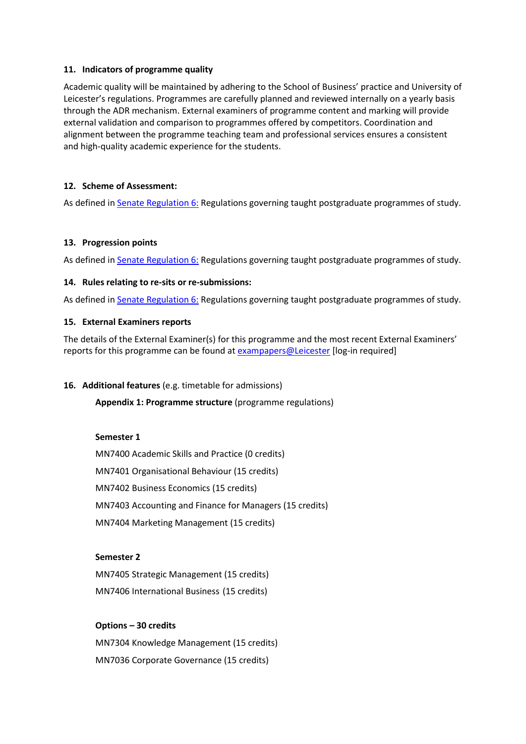#### **11. Indicators of programme quality**

Academic quality will be maintained by adhering to the School of Business' practice and University of Leicester's regulations. Programmes are carefully planned and reviewed internally on a yearly basis through the ADR mechanism. External examiners of programme content and marking will provide external validation and comparison to programmes offered by competitors. Coordination and alignment between the programme teaching team and professional services ensures a consistent and high-quality academic experience for the students.

#### **12. Scheme of Assessment:**

As defined i[n Senate Regulation 6:](http://www.le.ac.uk/senate-regulation6) Regulations governing taught postgraduate programmes of study.

#### **13. Progression points**

As defined i[n Senate Regulation 6:](http://www.le.ac.uk/senate-regulation6) Regulations governing taught postgraduate programmes of study.

#### **14. Rules relating to re-sits or re-submissions:**

As defined i[n Senate Regulation 6:](http://www.le.ac.uk/senate-regulation6) Regulations governing taught postgraduate programmes of study.

#### **15. External Examiners reports**

The details of the External Examiner(s) for this programme and the most recent External Examiners' reports for this programme can be found at [exampapers@Leicester](https://exampapers.le.ac.uk/xmlui/) [log-in required]

#### **16. Additional features** (e.g. timetable for admissions)

**Appendix 1: Programme structure** (programme regulations)

#### **Semester 1**

MN7400 Academic Skills and Practice (0 credits) MN7401 Organisational Behaviour (15 credits) MN7402 Business Economics (15 credits) MN7403 Accounting and Finance for Managers (15 credits) MN7404 Marketing Management (15 credits)

#### **Semester 2**

MN7405 Strategic Management (15 credits) MN7406 International Business (15 credits)

# **Options – 30 credits**

MN7304 Knowledge Management (15 credits) MN7036 Corporate Governance (15 credits)